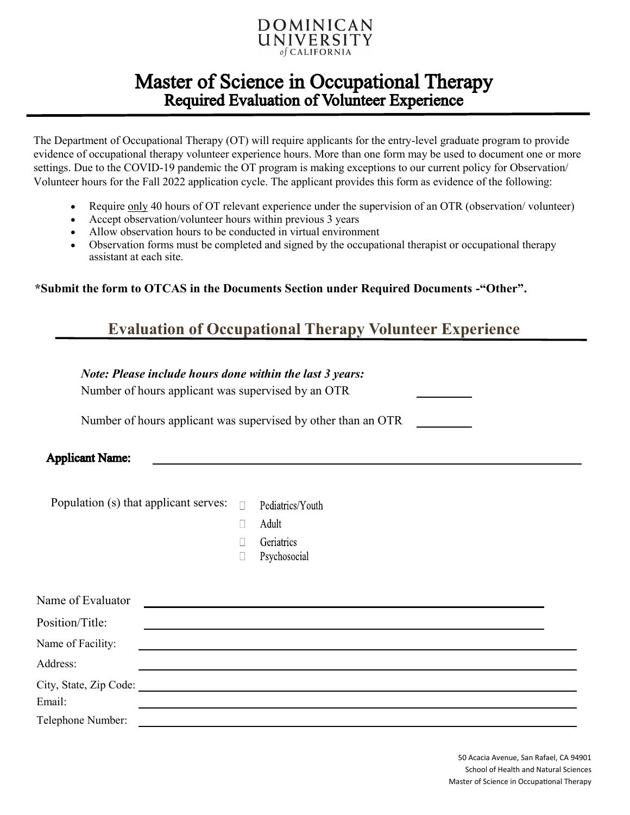

## **Master of Science in Occupational Therapy Required Evaluation of Volunteer Experience**

The Department of Occupational Therapy (OT) will require applicants for the entry-level graduate program to provide evidence of occupational therapy volunteer experience hours. More than one form may be used to document one or more settings. Due to the COVID-19 pandemic the OT program is making exceptions to our current policy for Observation/ Volunteer hours for the Fall 2022 application cycle. The applicant provides this form as evidence of the following:

- Require only 40 hours of OT relevant experience under the supervision of an OTR (observation/ volunteer)
- Accept observation/volunteer hours within previous 3 years
- Allow observation hours to be conducted in virtual environment
- Observation forms must be completed and signed by the occupational therapist or occupational therapy assistant at each site.

**\*Submit the form to OTCAS in the Documents Section under Required Documents -"Other".**

### **Evaluation of Occupational Therapy Volunteer Experience**

#### *Note: Please include hours done within the last 3 years:*

Number of hours applicant was supervised by an OTR

Number of hours applicant was supervised by other than an OTR

#### **Applicant Name:**

Population (s) that applicant serves:  $\Box$ Pediatrics/Youth

- $\Box$ Adult
- $\Box$ Geriatrics
- Psychosocial  $\Box$

| Name of Evaluator |  |
|-------------------|--|
| Position/Title:   |  |
| Name of Facility: |  |
| Address:          |  |
|                   |  |
| Email:            |  |
| Telephone Number: |  |